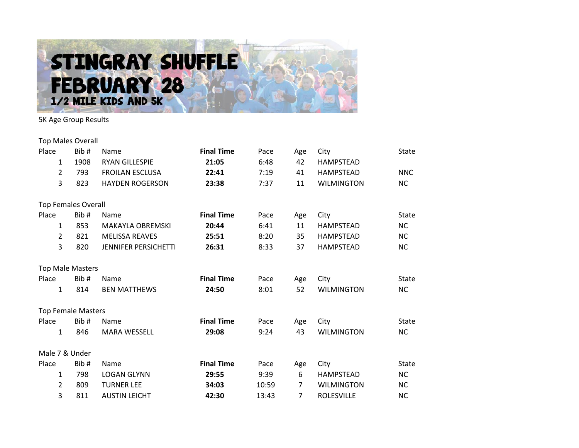

5K Age Group Results

| <b>Top Males Overall</b>   |      |                             |                   |       |     |                   |              |
|----------------------------|------|-----------------------------|-------------------|-------|-----|-------------------|--------------|
| Place                      | Bib# | Name                        | <b>Final Time</b> | Pace  | Age | City              | State        |
| 1                          | 1908 | <b>RYAN GILLESPIE</b>       | 21:05             | 6:48  | 42  | <b>HAMPSTEAD</b>  |              |
| $\overline{2}$             | 793  | <b>FROILAN ESCLUSA</b>      | 22:41             | 7:19  | 41  | <b>HAMPSTEAD</b>  | <b>NNC</b>   |
| 3                          | 823  | <b>HAYDEN ROGERSON</b>      | 23:38             | 7:37  | 11  | <b>WILMINGTON</b> | <b>NC</b>    |
| <b>Top Females Overall</b> |      |                             |                   |       |     |                   |              |
| Place                      | Bib# | Name                        | <b>Final Time</b> | Pace  | Age | City              | <b>State</b> |
| $\mathbf{1}$               | 853  | <b>MAKAYLA OBREMSKI</b>     | 20:44             | 6:41  | 11  | HAMPSTEAD         | <b>NC</b>    |
| $\overline{2}$             | 821  | <b>MELISSA REAVES</b>       | 25:51             | 8:20  | 35  | <b>HAMPSTEAD</b>  | <b>NC</b>    |
| 3                          | 820  | <b>JENNIFER PERSICHETTI</b> | 26:31             | 8:33  | 37  | <b>HAMPSTEAD</b>  | <b>NC</b>    |
| <b>Top Male Masters</b>    |      |                             |                   |       |     |                   |              |
| Place                      | Bib# | Name                        | <b>Final Time</b> | Pace  | Age | City              | State        |
| $\mathbf{1}$               | 814  | <b>BEN MATTHEWS</b>         | 24:50             | 8:01  | 52  | <b>WILMINGTON</b> | <b>NC</b>    |
| <b>Top Female Masters</b>  |      |                             |                   |       |     |                   |              |
| Place                      | Bib# | <b>Name</b>                 | <b>Final Time</b> | Pace  | Age | City              | <b>State</b> |
| $\mathbf{1}$               | 846  | <b>MARA WESSELL</b>         | 29:08             | 9:24  | 43  | <b>WILMINGTON</b> | <b>NC</b>    |
| Male 7 & Under             |      |                             |                   |       |     |                   |              |
| Place                      | Bib# | Name                        | <b>Final Time</b> | Pace  | Age | City              | State        |
| $\mathbf{1}$               | 798  | <b>LOGAN GLYNN</b>          | 29:55             | 9:39  | 6   | <b>HAMPSTEAD</b>  | <b>NC</b>    |
| $\overline{2}$             | 809  | <b>TURNER LEE</b>           | 34:03             | 10:59 | 7   | <b>WILMINGTON</b> | <b>NC</b>    |
| 3                          | 811  | <b>AUSTIN LEICHT</b>        | 42:30             | 13:43 | 7   | <b>ROLESVILLE</b> | <b>NC</b>    |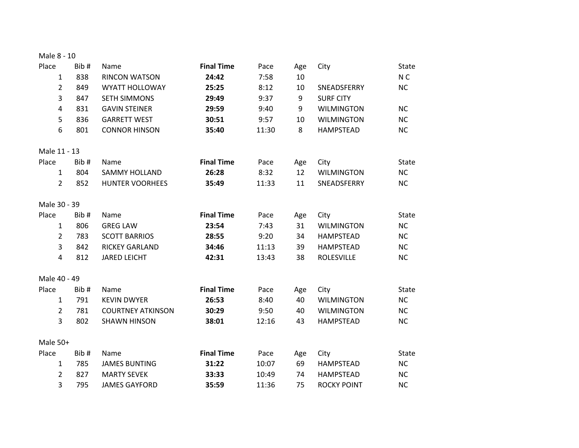| Male 8 - 10 |  |  |  |  |  |
|-------------|--|--|--|--|--|
|-------------|--|--|--|--|--|

| Place<br>$\mathbf{1}$<br>$\overline{2}$ | Bib#<br>838<br>849 | Name<br><b>RINCON WATSON</b><br><b>WYATT HOLLOWAY</b> | <b>Final Time</b><br>24:42<br>25:25 | Pace<br>7:58<br>8:12 | Age<br>10<br>10 | City<br>SNEADSFERRY | <b>State</b><br>N <sub>C</sub><br><b>NC</b> |
|-----------------------------------------|--------------------|-------------------------------------------------------|-------------------------------------|----------------------|-----------------|---------------------|---------------------------------------------|
| 3                                       | 847                | <b>SETH SIMMONS</b>                                   | 29:49                               | 9:37                 | 9               | <b>SURF CITY</b>    |                                             |
| 4                                       | 831                | <b>GAVIN STEINER</b>                                  | 29:59                               | 9:40                 | 9               | <b>WILMINGTON</b>   | <b>NC</b>                                   |
| 5                                       | 836                | <b>GARRETT WEST</b>                                   | 30:51                               | 9:57                 | 10              | <b>WILMINGTON</b>   | <b>NC</b>                                   |
| 6                                       | 801                | <b>CONNOR HINSON</b>                                  | 35:40                               | 11:30                | 8               | <b>HAMPSTEAD</b>    | <b>NC</b>                                   |
| Male 11 - 13                            |                    |                                                       |                                     |                      |                 |                     |                                             |
| Place                                   | Bib#               | Name                                                  | <b>Final Time</b>                   | Pace                 | Age             | City                | <b>State</b>                                |
| $\mathbf{1}$                            | 804                | <b>SAMMY HOLLAND</b>                                  | 26:28                               | 8:32                 | 12              | <b>WILMINGTON</b>   | <b>NC</b>                                   |
| $\overline{2}$                          | 852                | <b>HUNTER VOORHEES</b>                                | 35:49                               | 11:33                | 11              | SNEADSFERRY         | <b>NC</b>                                   |
| Male 30 - 39                            |                    |                                                       |                                     |                      |                 |                     |                                             |
| Place                                   | Bib#               | Name                                                  | <b>Final Time</b>                   | Pace                 | Age             | City                | <b>State</b>                                |
| $\mathbf{1}$                            | 806                | <b>GREG LAW</b>                                       | 23:54                               | 7:43                 | 31              | <b>WILMINGTON</b>   | <b>NC</b>                                   |
| $\overline{2}$                          | 783                | <b>SCOTT BARRIOS</b>                                  | 28:55                               | 9:20                 | 34              | <b>HAMPSTEAD</b>    | <b>NC</b>                                   |
| 3                                       | 842                | <b>RICKEY GARLAND</b>                                 | 34:46                               | 11:13                | 39              | <b>HAMPSTEAD</b>    | <b>NC</b>                                   |
| 4                                       | 812                | <b>JARED LEICHT</b>                                   | 42:31                               | 13:43                | 38              | <b>ROLESVILLE</b>   | <b>NC</b>                                   |
| Male 40 - 49                            |                    |                                                       |                                     |                      |                 |                     |                                             |
| Place                                   | Bib#               | Name                                                  | <b>Final Time</b>                   | Pace                 | Age             | City                | <b>State</b>                                |
| $\mathbf{1}$                            | 791                | <b>KEVIN DWYER</b>                                    | 26:53                               | 8:40                 | 40              | <b>WILMINGTON</b>   | <b>NC</b>                                   |
| $\overline{2}$                          | 781                | <b>COURTNEY ATKINSON</b>                              | 30:29                               | 9:50                 | 40              | <b>WILMINGTON</b>   | <b>NC</b>                                   |
| 3                                       | 802                | <b>SHAWN HINSON</b>                                   | 38:01                               | 12:16                | 43              | <b>HAMPSTEAD</b>    | <b>NC</b>                                   |
| Male 50+                                |                    |                                                       |                                     |                      |                 |                     |                                             |
| Place                                   | Bib#               | Name                                                  | <b>Final Time</b>                   | Pace                 | Age             | City                | <b>State</b>                                |
| $\mathbf{1}$                            | 785                | <b>JAMES BUNTING</b>                                  | 31:22                               | 10:07                | 69              | <b>HAMPSTEAD</b>    | <b>NC</b>                                   |
| $\overline{2}$                          | 827                | <b>MARTY SEVEK</b>                                    | 33:33                               | 10:49                | 74              | <b>HAMPSTEAD</b>    | <b>NC</b>                                   |
| 3                                       | 795                | <b>JAMES GAYFORD</b>                                  | 35:59                               | 11:36                | 75              | <b>ROCKY POINT</b>  | <b>NC</b>                                   |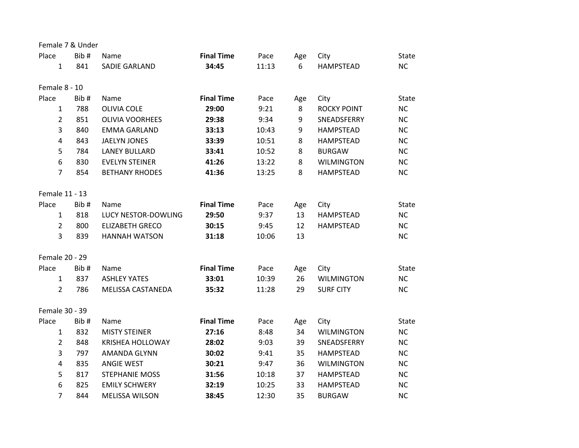| Female 7 & Under |      |                         |                   |       |     |                    |              |
|------------------|------|-------------------------|-------------------|-------|-----|--------------------|--------------|
| Place            | Bib# | Name                    | <b>Final Time</b> | Pace  | Age | City               | <b>State</b> |
| 1                | 841  | <b>SADIE GARLAND</b>    | 34:45             | 11:13 | 6   | <b>HAMPSTEAD</b>   | <b>NC</b>    |
| Female 8 - 10    |      |                         |                   |       |     |                    |              |
| Place            | Bib# | Name                    | <b>Final Time</b> | Pace  | Age | City               | <b>State</b> |
| $\mathbf{1}$     | 788  | <b>OLIVIA COLE</b>      | 29:00             | 9:21  | 8   | <b>ROCKY POINT</b> | <b>NC</b>    |
| $\overline{2}$   | 851  | <b>OLIVIA VOORHEES</b>  | 29:38             | 9:34  | 9   | SNEADSFERRY        | <b>NC</b>    |
| 3                | 840  | <b>EMMA GARLAND</b>     | 33:13             | 10:43 | 9   | <b>HAMPSTEAD</b>   | <b>NC</b>    |
| 4                | 843  | <b>JAELYN JONES</b>     | 33:39             | 10:51 | 8   | <b>HAMPSTEAD</b>   | <b>NC</b>    |
| 5                | 784  | <b>LANEY BULLARD</b>    | 33:41             | 10:52 | 8   | <b>BURGAW</b>      | <b>NC</b>    |
| 6                | 830  | <b>EVELYN STEINER</b>   | 41:26             | 13:22 | 8   | <b>WILMINGTON</b>  | <b>NC</b>    |
| $\overline{7}$   | 854  | <b>BETHANY RHODES</b>   | 41:36             | 13:25 | 8   | <b>HAMPSTEAD</b>   | <b>NC</b>    |
| Female 11 - 13   |      |                         |                   |       |     |                    |              |
| Place            | Bib# | Name                    | <b>Final Time</b> | Pace  | Age | City               | <b>State</b> |
| $\mathbf{1}$     | 818  | LUCY NESTOR-DOWLING     | 29:50             | 9:37  | 13  | <b>HAMPSTEAD</b>   | <b>NC</b>    |
| $\overline{2}$   | 800  | <b>ELIZABETH GRECO</b>  | 30:15             | 9:45  | 12  | <b>HAMPSTEAD</b>   | <b>NC</b>    |
| 3                | 839  | <b>HANNAH WATSON</b>    | 31:18             | 10:06 | 13  |                    | <b>NC</b>    |
| Female 20 - 29   |      |                         |                   |       |     |                    |              |
| Place            | Bib# | Name                    | <b>Final Time</b> | Pace  | Age | City               | State        |
| $\mathbf{1}$     | 837  | <b>ASHLEY YATES</b>     | 33:01             | 10:39 | 26  | <b>WILMINGTON</b>  | <b>NC</b>    |
| $\overline{2}$   | 786  | MELISSA CASTANEDA       | 35:32             | 11:28 | 29  | <b>SURF CITY</b>   | <b>NC</b>    |
| Female 30 - 39   |      |                         |                   |       |     |                    |              |
| Place            | Bib# | Name                    | <b>Final Time</b> | Pace  | Age | City               | <b>State</b> |
| $\mathbf{1}$     | 832  | <b>MISTY STEINER</b>    | 27:16             | 8:48  | 34  | <b>WILMINGTON</b>  | <b>NC</b>    |
| $\overline{2}$   | 848  | <b>KRISHEA HOLLOWAY</b> | 28:02             | 9:03  | 39  | SNEADSFERRY        | <b>NC</b>    |
| 3                | 797  | <b>AMANDA GLYNN</b>     | 30:02             | 9:41  | 35  | <b>HAMPSTEAD</b>   | <b>NC</b>    |
| 4                | 835  | <b>ANGIE WEST</b>       | 30:21             | 9:47  | 36  | <b>WILMINGTON</b>  | <b>NC</b>    |
| 5                | 817  | <b>STEPHANIE MOSS</b>   | 31:56             | 10:18 | 37  | <b>HAMPSTEAD</b>   | <b>NC</b>    |
| 6                | 825  | <b>EMILY SCHWERY</b>    | 32:19             | 10:25 | 33  | <b>HAMPSTEAD</b>   | <b>NC</b>    |
| $\overline{7}$   | 844  | <b>MELISSA WILSON</b>   | 38:45             | 12:30 | 35  | <b>BURGAW</b>      | <b>NC</b>    |